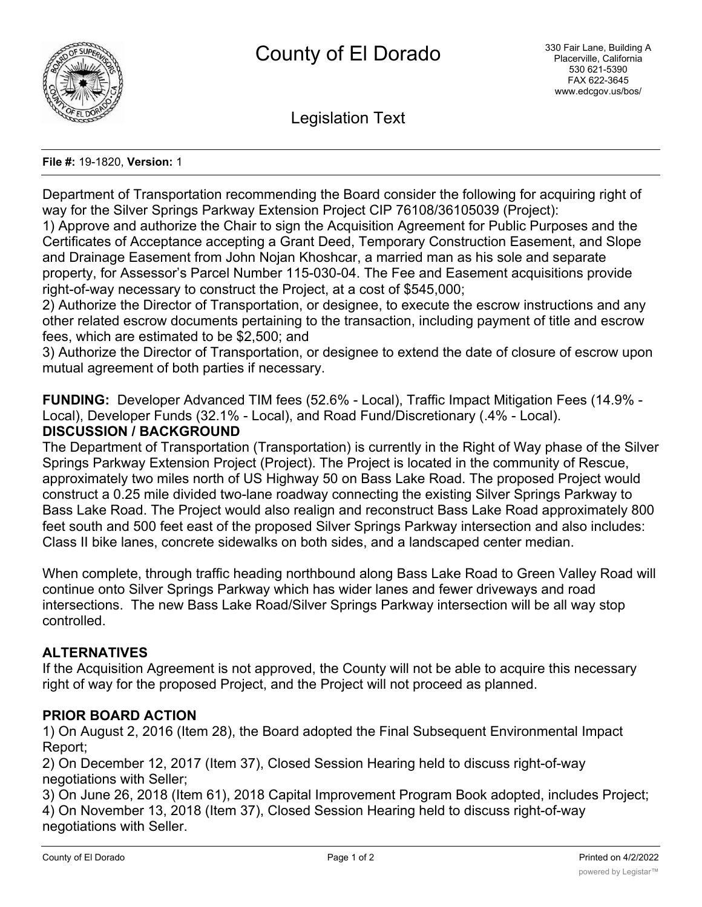

Legislation Text

#### **File #:** 19-1820, **Version:** 1

Department of Transportation recommending the Board consider the following for acquiring right of way for the Silver Springs Parkway Extension Project CIP 76108/36105039 (Project):

1) Approve and authorize the Chair to sign the Acquisition Agreement for Public Purposes and the Certificates of Acceptance accepting a Grant Deed, Temporary Construction Easement, and Slope and Drainage Easement from John Nojan Khoshcar, a married man as his sole and separate property, for Assessor's Parcel Number 115-030-04. The Fee and Easement acquisitions provide right-of-way necessary to construct the Project, at a cost of \$545,000;

2) Authorize the Director of Transportation, or designee, to execute the escrow instructions and any other related escrow documents pertaining to the transaction, including payment of title and escrow fees, which are estimated to be \$2,500; and

3) Authorize the Director of Transportation, or designee to extend the date of closure of escrow upon mutual agreement of both parties if necessary.

**FUNDING:** Developer Advanced TIM fees (52.6% - Local), Traffic Impact Mitigation Fees (14.9% - Local), Developer Funds (32.1% - Local), and Road Fund/Discretionary (.4% - Local).

## **DISCUSSION / BACKGROUND**

The Department of Transportation (Transportation) is currently in the Right of Way phase of the Silver Springs Parkway Extension Project (Project). The Project is located in the community of Rescue, approximately two miles north of US Highway 50 on Bass Lake Road. The proposed Project would construct a 0.25 mile divided two-lane roadway connecting the existing Silver Springs Parkway to Bass Lake Road. The Project would also realign and reconstruct Bass Lake Road approximately 800 feet south and 500 feet east of the proposed Silver Springs Parkway intersection and also includes: Class II bike lanes, concrete sidewalks on both sides, and a landscaped center median.

When complete, through traffic heading northbound along Bass Lake Road to Green Valley Road will continue onto Silver Springs Parkway which has wider lanes and fewer driveways and road intersections. The new Bass Lake Road/Silver Springs Parkway intersection will be all way stop controlled.

## **ALTERNATIVES**

If the Acquisition Agreement is not approved, the County will not be able to acquire this necessary right of way for the proposed Project, and the Project will not proceed as planned.

### **PRIOR BOARD ACTION**

1) On August 2, 2016 (Item 28), the Board adopted the Final Subsequent Environmental Impact Report;

2) On December 12, 2017 (Item 37), Closed Session Hearing held to discuss right-of-way negotiations with Seller;

3) On June 26, 2018 (Item 61), 2018 Capital Improvement Program Book adopted, includes Project; 4) On November 13, 2018 (Item 37), Closed Session Hearing held to discuss right-of-way negotiations with Seller.